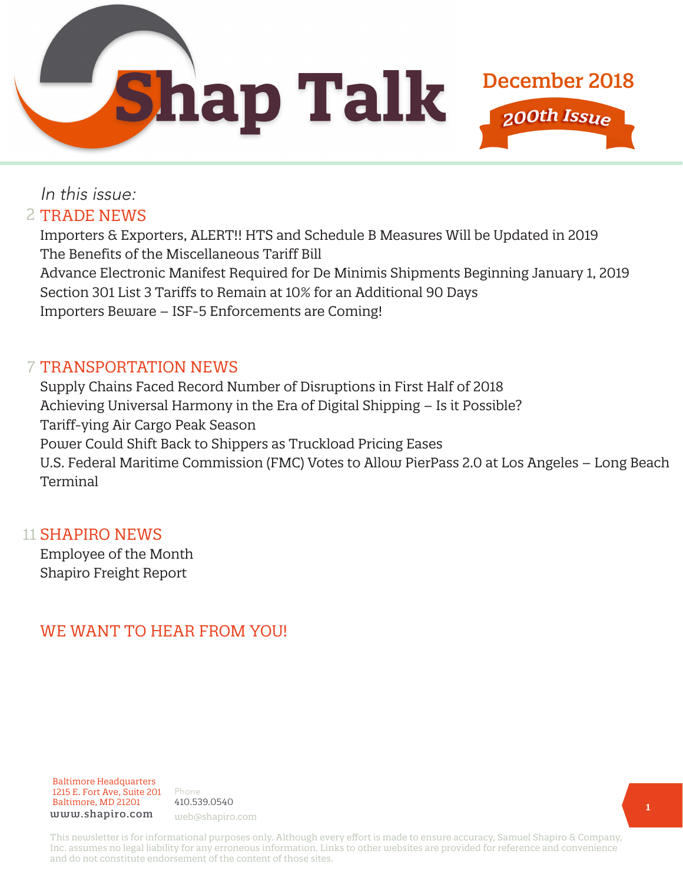**Shap Talk** 



Importers & Exporters, ALERT!! HTS and Schedule B Measures Will be Updated in 2019 The Benefits of the Miscellaneous Tariff Bill Advance Electronic Manifest Required for De Minimis Shipments Beginning January 1, 2019 Section 301 List 3 Tariffs to Remain at 10% for an Additional 90 Days Importers Beware – ISF-5 Enforcements are Coming!

### 7 TRANSPORTATION NEWS

Supply Chains Faced Record Number of Disruptions in First Half of 2018 Achieving Universal Harmony in the Era of Digital Shipping – Is it Possible? Tariff-ying Air Cargo Peak Season Power Could Shift Back to Shippers as Truckload Pricing Eases U.S. Federal Maritime Commission (FMC) Votes to Allow PierPass 2.0 at Los Angeles – Long Beach Terminal

#### 11 **SHAPIRO NEWS**

Employee of the Month Shapiro Freight Report

# WE WANT TO HEAR FROM YOU!

Baltimore Headquarters 1215 E. Fort Ave, Suite 201 Baltimore, MD 21201 www.shapiro.com web@shapiro.com

Phone 410.539.0540

This newsletter is for informational purposes only. Although every effort is made to ensure accuracy, Samuel Shapiro & Company, Inc. assumes no legal liability for any erroneous information. Links to other websites are provided for reference and convenience and do not constitute endorsement of the content of those sites.

December 2018

200th Issue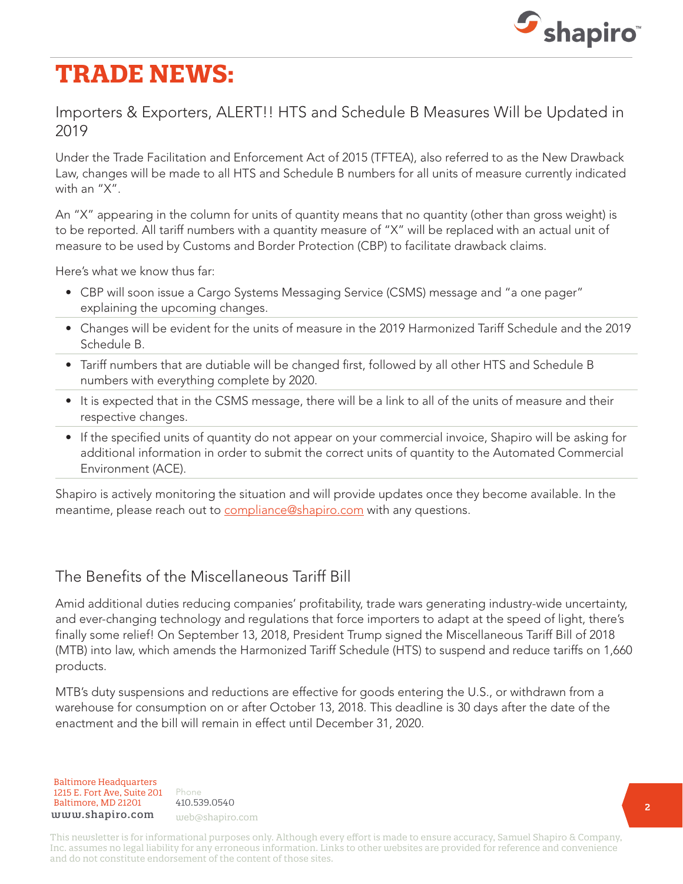

# **TRADE NEWS:**

### Importers & Exporters, ALERT!! HTS and Schedule B Measures Will be Updated in 2019

Under the Trade Facilitation and Enforcement Act of 2015 (TFTEA), also referred to as the New Drawback Law, changes will be made to all HTS and Schedule B numbers for all units of measure currently indicated with an "X".

An "X" appearing in the column for units of quantity means that no quantity (other than gross weight) is to be reported. All tariff numbers with a quantity measure of "X" will be replaced with an actual unit of measure to be used by Customs and Border Protection (CBP) to facilitate drawback claims.

Here's what we know thus far:

- CBP will soon issue a Cargo Systems Messaging Service (CSMS) message and "a one pager" explaining the upcoming changes.
- Changes will be evident for the units of measure in the 2019 Harmonized Tariff Schedule and the 2019 Schedule B.
- Tariff numbers that are dutiable will be changed first, followed by all other HTS and Schedule B numbers with everything complete by 2020.
- It is expected that in the CSMS message, there will be a link to all of the units of measure and their respective changes.
- If the specified units of quantity do not appear on your commercial invoice, Shapiro will be asking for additional information in order to submit the correct units of quantity to the Automated Commercial Environment (ACE).

Shapiro is actively monitoring the situation and will provide updates once they become available. In the meantime, please reach out to [compliance@shapiro.com](mailto:compliance%40shapiro.com?subject=) with any questions.

## The Benefits of the Miscellaneous Tariff Bill

Amid additional duties reducing companies' profitability, trade wars generating industry-wide uncertainty, and ever-changing technology and regulations that force importers to adapt at the speed of light, there's finally some relief! On September 13, 2018, President Trump signed the Miscellaneous Tariff Bill of 2018 (MTB) into law, which amends the Harmonized Tariff Schedule (HTS) to suspend and reduce tariffs on 1,660 products.

MTB's duty suspensions and reductions are effective for goods entering the U.S., or withdrawn from a warehouse for consumption on or after October 13, 2018. This deadline is 30 days after the date of the enactment and the bill will remain in effect until December 31, 2020.

Baltimore Headquarters Baltimore Headquarters 1215 E. Fort Ave, Suite 201 www.shapiro.com web@shapiro.com Baltimore, MD 21201

Phone Phone rnone<br>410.539.0540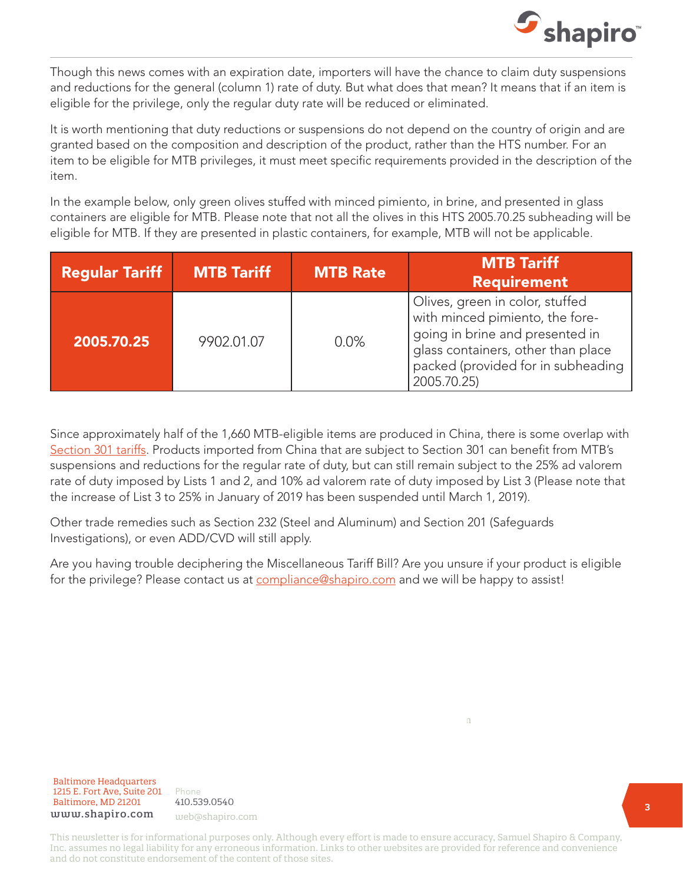

Though this news comes with an expiration date, importers will have the chance to claim duty suspensions and reductions for the general (column 1) rate of duty. But what does that mean? It means that if an item is eligible for the privilege, only the regular duty rate will be reduced or eliminated.

It is worth mentioning that duty reductions or suspensions do not depend on the country of origin and are granted based on the composition and description of the product, rather than the HTS number. For an item to be eligible for MTB privileges, it must meet specific requirements provided in the description of the item.

In the example below, only green olives stuffed with minced pimiento, in brine, and presented in glass containers are eligible for MTB. Please note that not all the olives in this HTS 2005.70.25 subheading will be eligible for MTB. If they are presented in plastic containers, for example, MTB will not be applicable.

| <b>Regular Tariff</b> | <b>MTB Tariff</b> | <b>MTB Rate</b> | <b>MTB Tariff</b><br><b>Requirement</b>                                                                                                                                                          |
|-----------------------|-------------------|-----------------|--------------------------------------------------------------------------------------------------------------------------------------------------------------------------------------------------|
| 2005.70.25            | 9902.01.07        | 0.0%            | Olives, green in color, stuffed<br>with minced pimiento, the fore-<br>going in brine and presented in<br>glass containers, other than place<br>packed (provided for in subheading<br>2005.70.25) |

Since approximately half of the 1,660 MTB-eligible items are produced in China, there is some overlap with [Section 301 tariffs.](https://www.shapiro.com/tariffs/tariff-news/) Products imported from China that are subject to Section 301 can benefit from MTB's suspensions and reductions for the regular rate of duty, but can still remain subject to the 25% ad valorem rate of duty imposed by Lists 1 and 2, and 10% ad valorem rate of duty imposed by List 3 (Please note that the increase of List 3 to 25% in January of 2019 has been suspended until March 1, 2019).

Other trade remedies such as Section 232 (Steel and Aluminum) and Section 201 (Safeguards Investigations), or even ADD/CVD will still apply.

Are you having trouble deciphering the Miscellaneous Tariff Bill? Are you unsure if your product is eligible for the privilege? Please contact us at [compliance@shapiro.com](mailto:compliance%40shapiro.com?subject=) and we will be happy to assist!

Baltimore Headquarters Baltimore Headquarters 1215 E. Fort Ave, Suite 201  ${\tt www.shapiro.com}$  web@shapiro.com Baltimore, MD 21201

Phone Phone rnone<br>410.539.0540

This newsletter is for informational purposes only. Although every effort is made to ensure accuracy, Samuel Shapiro & Company, Inc. assumes no legal liability for any erroneous information. Links to other websites are provided for reference and convenience and do not constitute endorsement of the content of those sites.

ww.shapiro.com web@shapiro.com web@shapiro.com web@shapiro.com web@shapiro.com web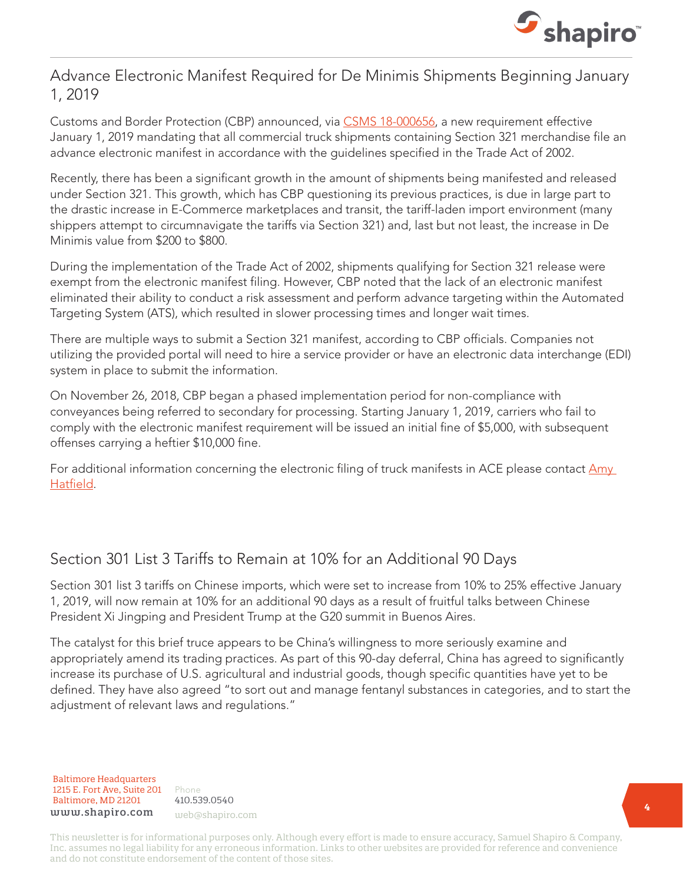

#### Advance Electronic Manifest Required for De Minimis Shipments Beginning January 1, 2019

Customs and Border Protection (CBP) announced, via [CSMS 18-000656](https://csms.cbp.gov/viewmssg.asp?Recid=23868&page=&srch_argv=18-000656&srchtype=&btype=&sortby=&sby=), a new requirement effective January 1, 2019 mandating that all commercial truck shipments containing Section 321 merchandise file an advance electronic manifest in accordance with the guidelines specified in the Trade Act of 2002.

Recently, there has been a significant growth in the amount of shipments being manifested and released under Section 321. This growth, which has CBP questioning its previous practices, is due in large part to the drastic increase in E-Commerce marketplaces and transit, the tariff-laden import environment (many shippers attempt to circumnavigate the tariffs via Section 321) and, last but not least, the increase in De Minimis value from \$200 to \$800.

During the implementation of the Trade Act of 2002, shipments qualifying for Section 321 release were exempt from the electronic manifest filing. However, CBP noted that the lack of an electronic manifest eliminated their ability to conduct a risk assessment and perform advance targeting within the Automated Targeting System (ATS), which resulted in slower processing times and longer wait times.

There are multiple ways to submit a Section 321 manifest, according to CBP officials. Companies not utilizing the provided portal will need to hire a service provider or have an electronic data interchange (EDI) system in place to submit the information.

On November 26, 2018, CBP began a phased implementation period for non-compliance with conveyances being referred to secondary for processing. Starting January 1, 2019, carriers who fail to comply with the electronic manifest requirement will be issued an initial fine of \$5,000, with subsequent offenses carrying a heftier \$10,000 fine.

For additional information concerning the electronic filing of truck manifests in ACE please contact Amy [Hatfield.](mailto:Amy.e.hatfield%40cbp.dhs.gov?subject=)

# Section 301 List 3 Tariffs to Remain at 10% for an Additional 90 Days

Section 301 list 3 tariffs on Chinese imports, which were set to increase from 10% to 25% effective January 1, 2019, will now remain at 10% for an additional 90 days as a result of fruitful talks between Chinese President Xi Jingping and President Trump at the G20 summit in Buenos Aires.

The catalyst for this brief truce appears to be China's willingness to more seriously examine and appropriately amend its trading practices. As part of this 90-day deferral, China has agreed to significantly increase its purchase of U.S. agricultural and industrial goods, though specific quantities have yet to be defined. They have also agreed "to sort out and manage fentanyl substances in categories, and to start the adjustment of relevant laws and regulations."

Baltimore Headquarters Baltimore Headquarters 1215 E. Fort Ave, Suite 201 1215 E. Fort Ave, Suite 201 Baltimore, MD 21201 Baltimore, MD 21201 www.shapiro.com web@shapiro.com

Phone Phone 410.539.0540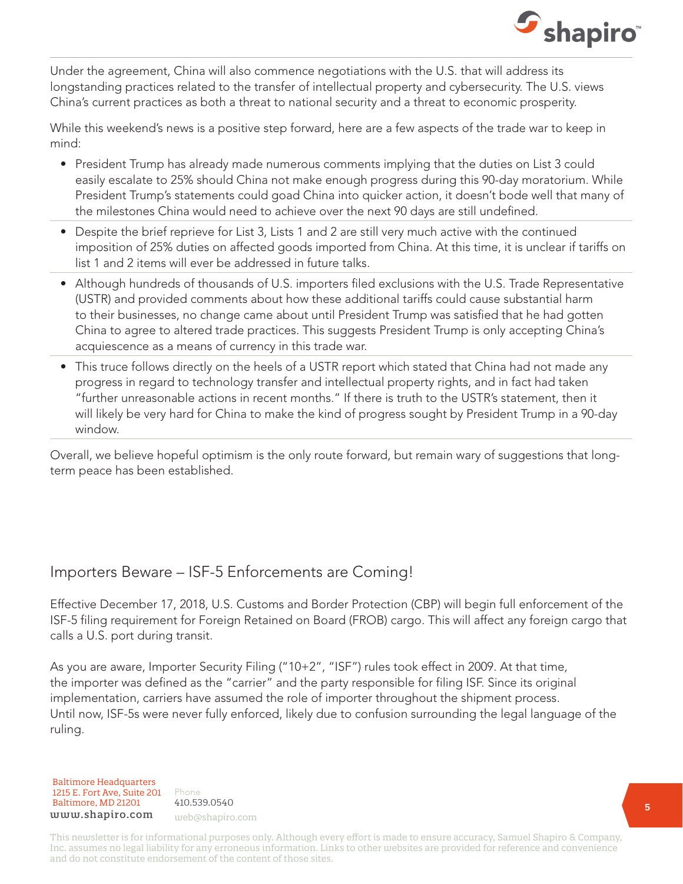

Under the agreement, China will also commence negotiations with the U.S. that will address its longstanding practices related to the transfer of intellectual property and cybersecurity. The U.S. views China's current practices as both a threat to national security and a threat to economic prosperity.

While this weekend's news is a positive step forward, here are a few aspects of the trade war to keep in mind:

- President Trump has already made numerous comments implying that the duties on List 3 could easily escalate to 25% should China not make enough progress during this 90-day moratorium. While President Trump's statements could goad China into quicker action, it doesn't bode well that many of the milestones China would need to achieve over the next 90 days are still undefined.
- Despite the brief reprieve for List 3, Lists 1 and 2 are still very much active with the continued imposition of 25% duties on affected goods imported from China. At this time, it is unclear if tariffs on list 1 and 2 items will ever be addressed in future talks.
- Although hundreds of thousands of U.S. importers filed exclusions with the U.S. Trade Representative (USTR) and provided comments about how these additional tariffs could cause substantial harm to their businesses, no change came about until President Trump was satisfied that he had gotten China to agree to altered trade practices. This suggests President Trump is only accepting China's acquiescence as a means of currency in this trade war.
- This truce follows directly on the heels of a USTR report which stated that China had not made any progress in regard to technology transfer and intellectual property rights, and in fact had taken "further unreasonable actions in recent months." If there is truth to the USTR's statement, then it will likely be very hard for China to make the kind of progress sought by President Trump in a 90-day window.

Overall, we believe hopeful optimism is the only route forward, but remain wary of suggestions that longterm peace has been established.

#### Importers Beware – ISF-5 Enforcements are Coming!

Effective December 17, 2018, U.S. Customs and Border Protection (CBP) will begin full enforcement of the ISF-5 filing requirement for Foreign Retained on Board (FROB) cargo. This will affect any foreign cargo that calls a U.S. port during transit.

As you are aware, Importer Security Filing ("10+2", "ISF") rules took effect in 2009. At that time, the importer was defined as the "carrier" and the party responsible for filing ISF. Since its original implementation, carriers have assumed the role of importer throughout the shipment process. Until now, ISF-5s were never fully enforced, likely due to confusion surrounding the legal language of the ruling.

Baltimore Headquarters Baltimore Headquarters 1215 E. Fort Ave, Suite 201 www.shapiro.com web@shapiro.com Baltimore, MD 21201

Phone Phone rnone<br>410.539.0540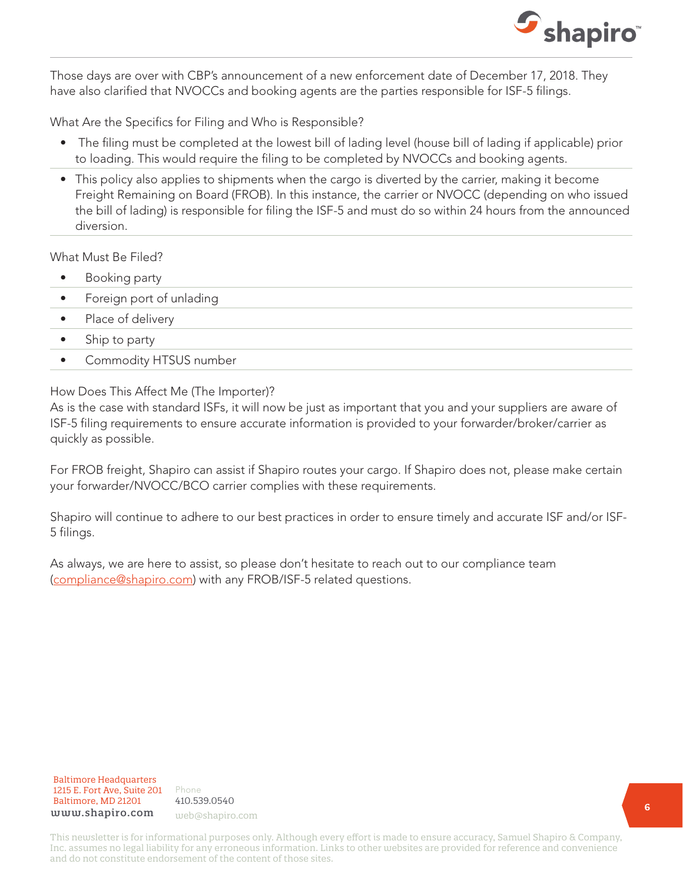

Those days are over with CBP's announcement of a new enforcement date of December 17, 2018. They have also clarified that NVOCCs and booking agents are the parties responsible for ISF-5 filings.

What Are the Specifics for Filing and Who is Responsible?

- The filing must be completed at the lowest bill of lading level (house bill of lading if applicable) prior to loading. This would require the filing to be completed by NVOCCs and booking agents.
- This policy also applies to shipments when the cargo is diverted by the carrier, making it become Freight Remaining on Board (FROB). In this instance, the carrier or NVOCC (depending on who issued the bill of lading) is responsible for filing the ISF-5 and must do so within 24 hours from the announced diversion.

What Must Be Filed?

- Booking party
- Foreign port of unlading
- Place of delivery
- Ship to party
- Commodity HTSUS number

How Does This Affect Me (The Importer)?

As is the case with standard ISFs, it will now be just as important that you and your suppliers are aware of ISF-5 filing requirements to ensure accurate information is provided to your forwarder/broker/carrier as quickly as possible.

For FROB freight, Shapiro can assist if Shapiro routes your cargo. If Shapiro does not, please make certain your forwarder/NVOCC/BCO carrier complies with these requirements.

Shapiro will continue to adhere to our best practices in order to ensure timely and accurate ISF and/or ISF-5 filings.

As always, we are here to assist, so please don't hesitate to reach out to our compliance team ([compliance@shapiro.com\)](mailto:compliance%40shapiro.com?subject=) with any FROB/ISF-5 related questions.



Phone Phone 410.539.0540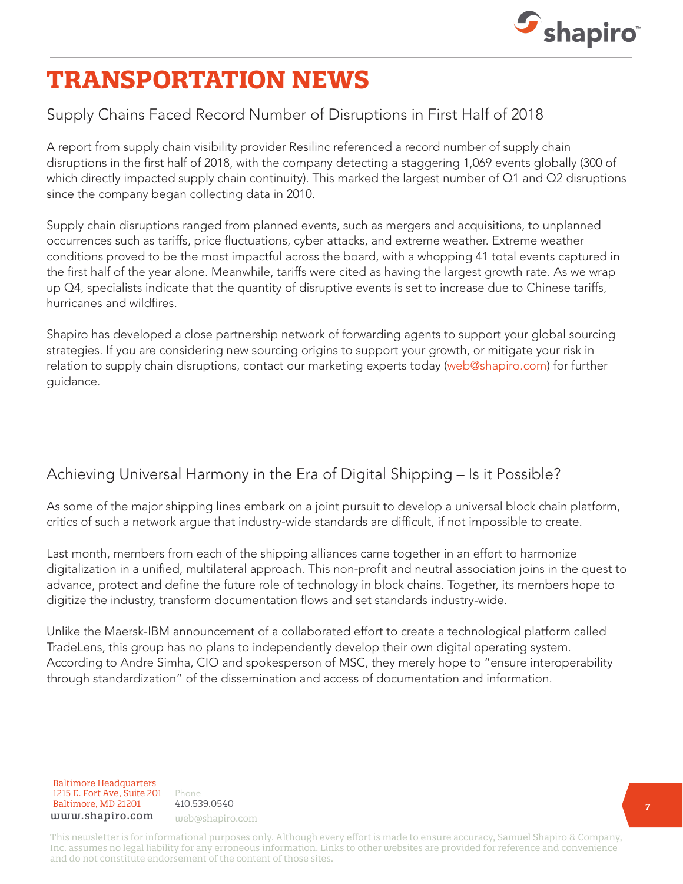

# **TRANSPORTATION NEWS**

# Supply Chains Faced Record Number of Disruptions in First Half of 2018

A report from supply chain visibility provider Resilinc referenced a record number of supply chain disruptions in the first half of 2018, with the company detecting a staggering 1,069 events globally (300 of which directly impacted supply chain continuity). This marked the largest number of Q1 and Q2 disruptions since the company began collecting data in 2010.

Supply chain disruptions ranged from planned events, such as mergers and acquisitions, to unplanned occurrences such as tariffs, price fluctuations, cyber attacks, and extreme weather. Extreme weather conditions proved to be the most impactful across the board, with a whopping 41 total events captured in the first half of the year alone. Meanwhile, tariffs were cited as having the largest growth rate. As we wrap up Q4, specialists indicate that the quantity of disruptive events is set to increase due to Chinese tariffs, hurricanes and wildfires.

Shapiro has developed a close partnership network of forwarding agents to support your global sourcing strategies. If you are considering new sourcing origins to support your growth, or mitigate your risk in relation to supply chain disruptions, contact our marketing experts today [\(web@shapiro.com](mailto:web%40shapiro.com?subject=)) for further guidance.

# Achieving Universal Harmony in the Era of Digital Shipping – Is it Possible?

As some of the major shipping lines embark on a joint pursuit to develop a universal block chain platform, critics of such a network argue that industry-wide standards are difficult, if not impossible to create.

Last month, members from each of the shipping alliances came together in an effort to harmonize digitalization in a unified, multilateral approach. This non-profit and neutral association joins in the quest to advance, protect and define the future role of technology in block chains. Together, its members hope to digitize the industry, transform documentation flows and set standards industry-wide.

Unlike the Maersk-IBM announcement of a collaborated effort to create a technological platform called TradeLens, this group has no plans to independently develop their own digital operating system. According to Andre Simha, CIO and spokesperson of MSC, they merely hope to "ensure interoperability through standardization" of the dissemination and access of documentation and information.

Baltimore Headquarters Baltimore Headquarters 1215 E. Fort Ave, Suite 201 www.shapiro.com web@shapiro.com Baltimore, MD 21201

Phone 410.539.0540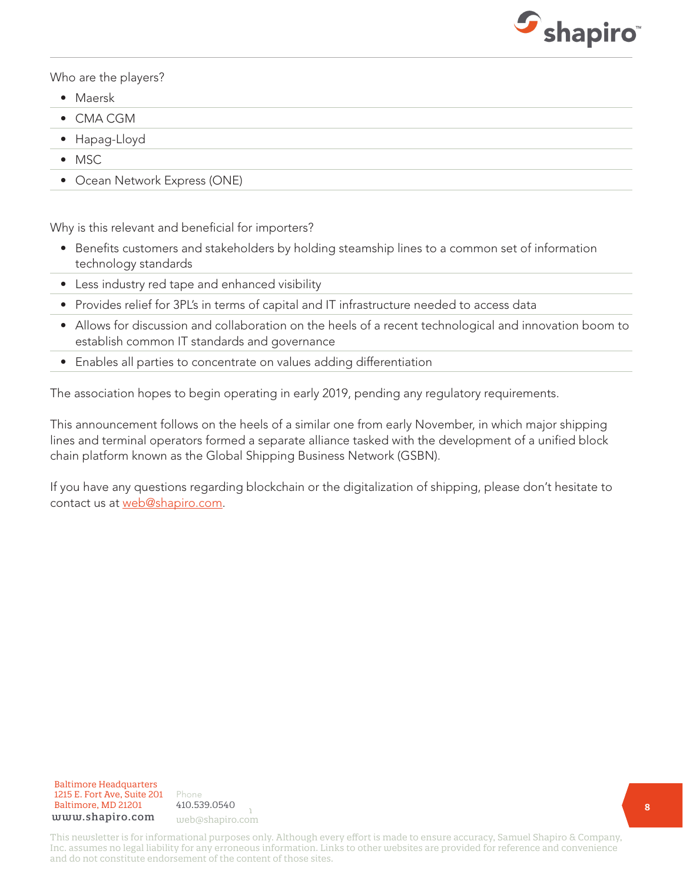

Who are the players?

- Maersk
- CMA CGM
- Hapag-Lloyd
- MSC
- Ocean Network Express (ONE)

Why is this relevant and beneficial for importers?

- Benefits customers and stakeholders by holding steamship lines to a common set of information technology standards
- Less industry red tape and enhanced visibility
- Provides relief for 3PL's in terms of capital and IT infrastructure needed to access data
- Allows for discussion and collaboration on the heels of a recent technological and innovation boom to establish common IT standards and governance
- Enables all parties to concentrate on values adding differentiation

The association hopes to begin operating in early 2019, pending any regulatory requirements.

This announcement follows on the heels of a similar one from early November, in which major shipping lines and terminal operators formed a separate alliance tasked with the development of a unified block chain platform known as the Global Shipping Business Network (GSBN).

If you have any questions regarding blockchain or the digitalization of shipping, please don't hesitate to contact us at [web@shapiro.com](mailto:web%40shapiro.com?subject=).

Baltimore Headquarters 1215 E. Fort Ave, Suite 201 www.shapiro.com Baltimore, MD 21201

Phone **1998** 410.539.0540 web@shapiro.com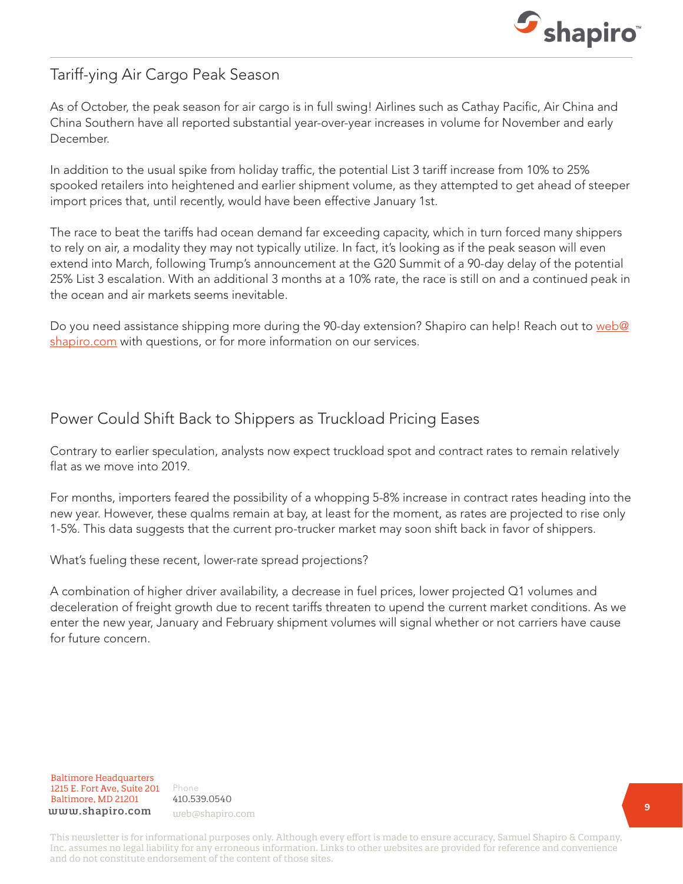

### Tariff-ying Air Cargo Peak Season

As of October, the peak season for air cargo is in full swing! Airlines such as Cathay Pacific, Air China and China Southern have all reported substantial year-over-year increases in volume for November and early December.

In addition to the usual spike from holiday traffic, the potential List 3 tariff increase from 10% to 25% spooked retailers into heightened and earlier shipment volume, as they attempted to get ahead of steeper import prices that, until recently, would have been effective January 1st.

The race to beat the tariffs had ocean demand far exceeding capacity, which in turn forced many shippers to rely on air, a modality they may not typically utilize. In fact, it's looking as if the peak season will even extend into March, following Trump's announcement at the G20 Summit of a 90-day delay of the potential 25% List 3 escalation. With an additional 3 months at a 10% rate, the race is still on and a continued peak in the ocean and air markets seems inevitable.

Do you need assistance shipping more during the 90-day extension? Shapiro can help! Reach out to [web@](mailto:web%40shapiro.com?subject=) [shapiro.com](mailto:web%40shapiro.com?subject=) with questions, or for more information on our services.

# Power Could Shift Back to Shippers as Truckload Pricing Eases

Contrary to earlier speculation, analysts now expect truckload spot and contract rates to remain relatively flat as we move into 2019

For months, importers feared the possibility of a whopping 5-8% increase in contract rates heading into the new year. However, these qualms remain at bay, at least for the moment, as rates are projected to rise only 1-5%. This data suggests that the current pro-trucker market may soon shift back in favor of shippers.

What's fueling these recent, lower-rate spread projections?

A combination of higher driver availability, a decrease in fuel prices, lower projected Q1 volumes and deceleration of freight growth due to recent tariffs threaten to upend the current market conditions. As we enter the new year, January and February shipment volumes will signal whether or not carriers have cause for future concern.



Phone Phone 410.539.0540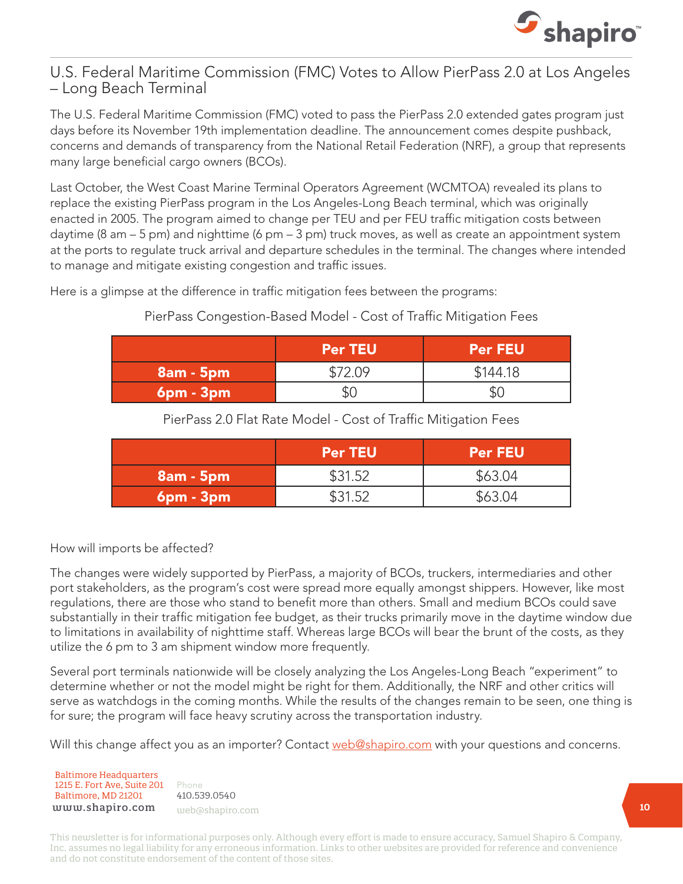

#### U.S. Federal Maritime Commission (FMC) Votes to Allow PierPass 2.0 at Los Angeles – Long Beach Terminal

The U.S. Federal Maritime Commission (FMC) voted to pass the PierPass 2.0 extended gates program just days before its November 19th implementation deadline. The announcement comes despite pushback, concerns and demands of transparency from the National Retail Federation (NRF), a group that represents many large beneficial cargo owners (BCOs).

Last October, the West Coast Marine Terminal Operators Agreement (WCMTOA) revealed its plans to replace the existing PierPass program in the Los Angeles-Long Beach terminal, which was originally enacted in 2005. The program aimed to change per TEU and per FEU traffic mitigation costs between daytime (8 am – 5 pm) and nighttime (6 pm – 3 pm) truck moves, as well as create an appointment system at the ports to regulate truck arrival and departure schedules in the terminal. The changes where intended to manage and mitigate existing congestion and traffic issues.

Here is a glimpse at the difference in traffic mitigation fees between the programs:

#### PierPass Congestion-Based Model - Cost of Traffic Mitigation Fees

|                 | <b>Per TEU</b> | <b>Per FEU</b> |
|-----------------|----------------|----------------|
| $8am - 5pm$     | \$72.09        | \$144.18       |
| $6$ pm - $3$ pm | \$(            |                |

PierPass 2.0 Flat Rate Model - Cost of Traffic Mitigation Fees

|                 | <b>Per TEU</b> | <b>Per FEU</b> |
|-----------------|----------------|----------------|
| $8am - 5pm$     | \$31.52        | \$63.04        |
| $6$ pm - $3$ pm | \$31.52        | \$63.04        |

How will imports be affected?

The changes were widely supported by PierPass, a majority of BCOs, truckers, intermediaries and other port stakeholders, as the program's cost were spread more equally amongst shippers. However, like most regulations, there are those who stand to benefit more than others. Small and medium BCOs could save substantially in their traffic mitigation fee budget, as their trucks primarily move in the daytime window due to limitations in availability of nighttime staff. Whereas large BCOs will bear the brunt of the costs, as they utilize the 6 pm to 3 am shipment window more frequently.

Several port terminals nationwide will be closely analyzing the Los Angeles-Long Beach "experiment" to determine whether or not the model might be right for them. Additionally, the NRF and other critics will serve as watchdogs in the coming months. While the results of the changes remain to be seen, one thing is for sure; the program will face heavy scrutiny across the transportation industry.

Will this change affect you as an importer? Contact [web@shapiro.com](mailto:web%40shapiro.com?subject=) with your questions and concerns.

Baltimore Headquarters Baltimore Headquarters 1215 E. Fort Ave, Suite 201 1215 E. Fort Ave, Suite 201 Baltimore, MD 21201 Baltimore, MD 21201 www.shapiro.com

Phone Phone 410.539.0540 web@shapiro.com